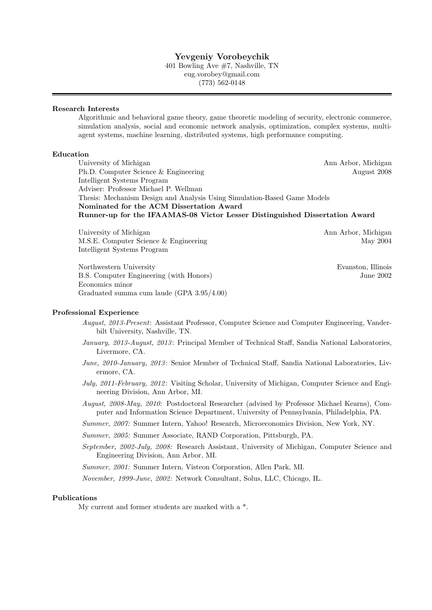## Yevgeniy Vorobeychik

401 Bowling Ave #7, Nashville, TN eug.vorobey@gmail.com (773) 562-0148

#### Research Interests

Algorithmic and behavioral game theory, game theoretic modeling of security, electronic commerce, simulation analysis, social and economic network analysis, optimization, complex systems, multiagent systems, machine learning, distributed systems, high performance computing.

## Education

University of Michigan Ann Arbor, Michigan Ann Arbor, Michigan Ph.D. Computer Science & Engineering August 2008 Intelligent Systems Program Adviser: Professor Michael P. Wellman Thesis: Mechanism Design and Analysis Using Simulation-Based Game Models Nominated for the ACM Dissertation Award Runner-up for the IFAAMAS-08 Victor Lesser Distinguished Dissertation Award

University of Michigan Ann Arbor, Michigan Ann Arbor, Michigan M.S.E. Computer Science & Engineering May 2004 Intelligent Systems Program

Northwestern University Evanston, Illinois B.S. Computer Engineering (with Honors) June 2002 Economics minor Graduated summa cum laude (GPA 3.95/4.00)

#### Professional Experience

- August, 2013-Present: Assistant Professor, Computer Science and Computer Engineering, Vanderbilt University, Nashville, TN.
- January, 2013-August, 2013: Principal Member of Technical Staff, Sandia National Laboratories, Livermore, CA.
- June, 2010-January, 2013: Senior Member of Technical Staff, Sandia National Laboratories, Livermore, CA.
- July, 2011-February, 2012: Visiting Scholar, University of Michigan, Computer Science and Engineering Division, Ann Arbor, MI.
- August, 2008-May, 2010: Postdoctoral Researcher (advised by Professor Michael Kearns), Computer and Information Science Department, University of Pennsylvania, Philadelphia, PA.
- Summer, 2007: Summer Intern, Yahoo! Research, Microeconomics Division, New York, NY.

Summer, 2005: Summer Associate, RAND Corporation, Pittsburgh, PA.

September, 2002-July, 2008: Research Assistant, University of Michigan, Computer Science and Engineering Division, Ann Arbor, MI.

Summer, 2001: Summer Intern, Visteon Corporation, Allen Park, MI.

November, 1999-June, 2002: Network Consultant, Solus, LLC, Chicago, IL.

#### Publications

My current and former students are marked with a \*.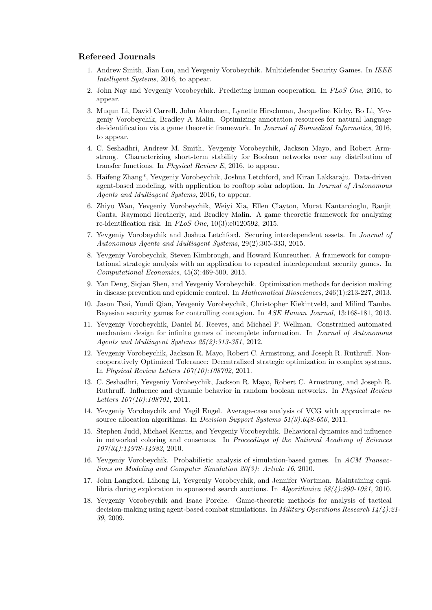### Refereed Journals

- 1. Andrew Smith, Jian Lou, and Yevgeniy Vorobeychik. Multidefender Security Games. In IEEE Intelligent Systems, 2016, to appear.
- 2. John Nay and Yevgeniy Vorobeychik. Predicting human cooperation. In PLoS One, 2016, to appear.
- 3. Muqun Li, David Carrell, John Aberdeen, Lynette Hirschman, Jacqueline Kirby, Bo Li, Yevgeniy Vorobeychik, Bradley A Malin. Optimizing annotation resources for natural language de-identification via a game theoretic framework. In Journal of Biomedical Informatics, 2016, to appear.
- 4. C. Seshadhri, Andrew M. Smith, Yevgeniy Vorobeychik, Jackson Mayo, and Robert Armstrong. Characterizing short-term stability for Boolean networks over any distribution of transfer functions. In Physical Review E, 2016, to appear.
- 5. Haifeng Zhang\*, Yevgeniy Vorobeychik, Joshua Letchford, and Kiran Lakkaraju. Data-driven agent-based modeling, with application to rooftop solar adoption. In Journal of Autonomous Agents and Multiagent Systems, 2016, to appear.
- 6. Zhiyu Wan, Yevgeniy Vorobeychik, Weiyi Xia, Ellen Clayton, Murat Kantarcioglu, Ranjit Ganta, Raymond Heatherly, and Bradley Malin. A game theoretic framework for analyzing re-identification risk. In PLoS One, 10(3):e0120592, 2015.
- 7. Yevgeniy Vorobeychik and Joshua Letchford. Securing interdependent assets. In Journal of Autonomous Agents and Multiagent Systems, 29(2):305-333, 2015.
- 8. Yevgeniy Vorobeychik, Steven Kimbrough, and Howard Kunreuther. A framework for computational strategic analysis with an application to repeated interdependent security games. In Computational Economics, 45(3):469-500, 2015.
- 9. Yan Deng, Siqian Shen, and Yevgeniy Vorobeychik. Optimization methods for decision making in disease prevention and epidemic control. In Mathematical Biosciences, 246(1):213-227, 2013.
- 10. Jason Tsai, Yundi Qian, Yevgeniy Vorobeychik, Christopher Kiekintveld, and Milind Tambe. Bayesian security games for controlling contagion. In ASE Human Journal, 13:168-181, 2013.
- 11. Yevgeniy Vorobeychik, Daniel M. Reeves, and Michael P. Wellman. Constrained automated mechanism design for infinite games of incomplete information. In Journal of Autonomous Agents and Multiagent Systems 25(2):313-351, 2012.
- 12. Yevgeniy Vorobeychik, Jackson R. Mayo, Robert C. Armstrong, and Joseph R. Ruthruff. Noncooperatively Optimized Tolerance: Decentralized strategic optimization in complex systems. In Physical Review Letters 107(10):108702, 2011.
- 13. C. Seshadhri, Yevgeniy Vorobeychik, Jackson R. Mayo, Robert C. Armstrong, and Joseph R. Ruthruff. Influence and dynamic behavior in random boolean networks. In Physical Review Letters 107(10):108701, 2011.
- 14. Yevgeniy Vorobeychik and Yagil Engel. Average-case analysis of VCG with approximate resource allocation algorithms. In *Decision Support Systems*  $51(3):648-656$ ,  $2011$ .
- 15. Stephen Judd, Michael Kearns, and Yevgeniy Vorobeychik. Behavioral dynamics and influence in networked coloring and consensus. In Proceedings of the National Academy of Sciences 107(34):14978-14982, 2010.
- 16. Yevgeniy Vorobeychik. Probabilistic analysis of simulation-based games. In ACM Transactions on Modeling and Computer Simulation 20(3): Article 16, 2010.
- 17. John Langford, Lihong Li, Yevgeniy Vorobeychik, and Jennifer Wortman. Maintaining equilibria during exploration in sponsored search auctions. In Algorithmica 58(4):990-1021, 2010.
- 18. Yevgeniy Vorobeychik and Isaac Porche. Game-theoretic methods for analysis of tactical decision-making using agent-based combat simulations. In *Military Operations Research*  $14(4):21-$ 39, 2009.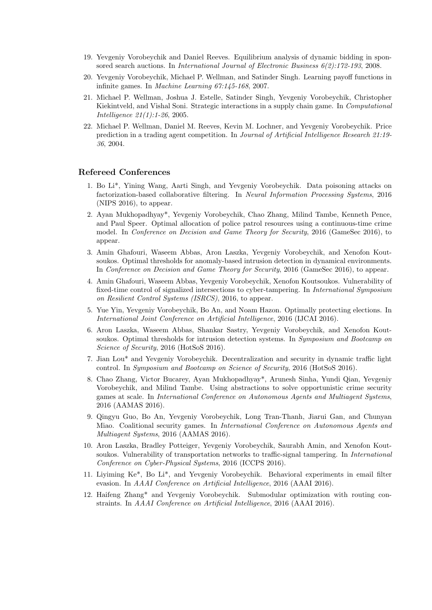- 19. Yevgeniy Vorobeychik and Daniel Reeves. Equilibrium analysis of dynamic bidding in sponsored search auctions. In *International Journal of Electronic Business 6(2):172-193*, 2008.
- 20. Yevgeniy Vorobeychik, Michael P. Wellman, and Satinder Singh. Learning payoff functions in infinite games. In Machine Learning 67:145-168, 2007.
- 21. Michael P. Wellman, Joshua J. Estelle, Satinder Singh, Yevgeniy Vorobeychik, Christopher Kiekintveld, and Vishal Soni. Strategic interactions in a supply chain game. In Computational Intelligence 21(1):1-26, 2005.
- 22. Michael P. Wellman, Daniel M. Reeves, Kevin M. Lochner, and Yevgeniy Vorobeychik. Price prediction in a trading agent competition. In Journal of Artificial Intelligence Research 21:19- 36, 2004.

## Refereed Conferences

- 1. Bo Li\*, Yining Wang, Aarti Singh, and Yevgeniy Vorobeychik. Data poisoning attacks on factorization-based collaborative filtering. In Neural Information Processing Systems, 2016 (NIPS 2016), to appear.
- 2. Ayan Mukhopadhyay\*, Yevgeniy Vorobeychik, Chao Zhang, Milind Tambe, Kenneth Pence, and Paul Speer. Optimal allocation of police patrol resources using a continuous-time crime model. In Conference on Decision and Game Theory for Security, 2016 (GameSec 2016), to appear.
- 3. Amin Ghafouri, Waseem Abbas, Aron Laszka, Yevgeniy Vorobeychik, and Xenofon Koutsoukos. Optimal thresholds for anomaly-based intrusion detection in dynamical environments. In Conference on Decision and Game Theory for Security, 2016 (GameSec 2016), to appear.
- 4. Amin Ghafouri, Waseem Abbas, Yevgeniy Vorobeychik, Xenofon Koutsoukos. Vulnerability of fixed-time control of signalized intersections to cyber-tampering. In International Symposium on Resilient Control Systems (ISRCS), 2016, to appear.
- 5. Yue Yin, Yevgeniy Vorobeychik, Bo An, and Noam Hazon. Optimally protecting elections. In International Joint Conference on Artificial Intelligence, 2016 (IJCAI 2016).
- 6. Aron Laszka, Waseem Abbas, Shankar Sastry, Yevgeniy Vorobeychik, and Xenofon Koutsoukos. Optimal thresholds for intrusion detection systems. In Symposium and Bootcamp on Science of Security, 2016 (HotSoS 2016).
- 7. Jian Lou\* and Yevgeniy Vorobeychik. Decentralization and security in dynamic traffic light control. In Symposium and Bootcamp on Science of Security, 2016 (HotSoS 2016).
- 8. Chao Zhang, Victor Bucarey, Ayan Mukhopadhyay\*, Arunesh Sinha, Yundi Qian, Yevgeniy Vorobeychik, and Milind Tambe. Using abstractions to solve opportunistic crime security games at scale. In International Conference on Autonomous Agents and Multiagent Systems, 2016 (AAMAS 2016).
- 9. Qingyu Guo, Bo An, Yevgeniy Vorobeychik, Long Tran-Thanh, Jiarui Gan, and Chunyan Miao. Coalitional security games. In International Conference on Autonomous Agents and Multiagent Systems, 2016 (AAMAS 2016).
- 10. Aron Laszka, Bradley Potteiger, Yevgeniy Vorobeychik, Saurabh Amin, and Xenofon Koutsoukos. Vulnerability of transportation networks to traffic-signal tampering. In *International* Conference on Cyber-Physical Systems, 2016 (ICCPS 2016).
- 11. Liyiming Ke\*, Bo Li\*, and Yevgeniy Vorobeychik. Behavioral experiments in email filter evasion. In AAAI Conference on Artificial Intelligence, 2016 (AAAI 2016).
- 12. Haifeng Zhang\* and Yevgeniy Vorobeychik. Submodular optimization with routing constraints. In AAAI Conference on Artificial Intelligence, 2016 (AAAI 2016).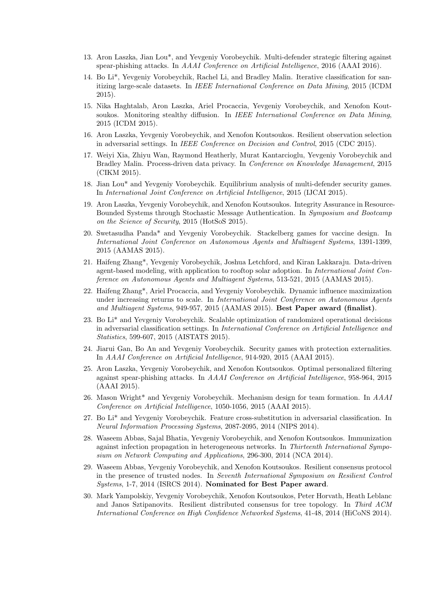- 13. Aron Laszka, Jian Lou\*, and Yevgeniy Vorobeychik. Multi-defender strategic filtering against spear-phishing attacks. In AAAI Conference on Artificial Intelligence, 2016 (AAAI 2016).
- 14. Bo Li\*, Yevgeniy Vorobeychik, Rachel Li, and Bradley Malin. Iterative classification for sanitizing large-scale datasets. In IEEE International Conference on Data Mining, 2015 (ICDM 2015).
- 15. Nika Haghtalab, Aron Laszka, Ariel Procaccia, Yevgeniy Vorobeychik, and Xenofon Koutsoukos. Monitoring stealthy diffusion. In IEEE International Conference on Data Mining, 2015 (ICDM 2015).
- 16. Aron Laszka, Yevgeniy Vorobeychik, and Xenofon Koutsoukos. Resilient observation selection in adversarial settings. In IEEE Conference on Decision and Control, 2015 (CDC 2015).
- 17. Weiyi Xia, Zhiyu Wan, Raymond Heatherly, Murat Kantarcioglu, Yevgeniy Vorobeychik and Bradley Malin. Process-driven data privacy. In Conference on Knowledge Management, 2015 (CIKM 2015).
- 18. Jian Lou\* and Yevgeniy Vorobeychik. Equilibrium analysis of multi-defender security games. In International Joint Conference on Artificial Intelligence, 2015 (IJCAI 2015).
- 19. Aron Laszka, Yevgeniy Vorobeychik, and Xenofon Koutsoukos. Integrity Assurance in Resource-Bounded Systems through Stochastic Message Authentication. In Symposium and Bootcamp on the Science of Security, 2015 (HotSoS 2015).
- 20. Swetasudha Panda\* and Yevgeniy Vorobeychik. Stackelberg games for vaccine design. In International Joint Conference on Autonomous Agents and Multiagent Systems, 1391-1399, 2015 (AAMAS 2015).
- 21. Haifeng Zhang\*, Yevgeniy Vorobeychik, Joshua Letchford, and Kiran Lakkaraju. Data-driven agent-based modeling, with application to rooftop solar adoption. In International Joint Conference on Autonomous Agents and Multiagent Systems, 513-521, 2015 (AAMAS 2015).
- 22. Haifeng Zhang\*, Ariel Procaccia, and Yevgeniy Vorobeychik. Dynamic influence maximization under increasing returns to scale. In International Joint Conference on Autonomous Agents and Multiagent Systems, 949-957, 2015 (AAMAS 2015). Best Paper award (finalist).
- 23. Bo Li\* and Yevgeniy Vorobeychik. Scalable optimization of randomized operational decisions in adversarial classification settings. In International Conference on Artificial Intelligence and Statistics, 599-607, 2015 (AISTATS 2015).
- 24. Jiarui Gan, Bo An and Yevgeniy Vorobeychik. Security games with protection externalities. In AAAI Conference on Artificial Intelligence, 914-920, 2015 (AAAI 2015).
- 25. Aron Laszka, Yevgeniy Vorobeychik, and Xenofon Koutsoukos. Optimal personalized filtering against spear-phishing attacks. In AAAI Conference on Artificial Intelligence, 958-964, 2015 (AAAI 2015).
- 26. Mason Wright\* and Yevgeniy Vorobeychik. Mechanism design for team formation. In AAAI Conference on Artificial Intelligence, 1050-1056, 2015 (AAAI 2015).
- 27. Bo Li\* and Yevgeniy Vorobeychik. Feature cross-substitution in adversarial classification. In Neural Information Processing Systems, 2087-2095, 2014 (NIPS 2014).
- 28. Waseem Abbas, Sajal Bhatia, Yevgeniy Vorobeychik, and Xenofon Koutsoukos. Immunization against infection propagation in heterogeneous networks. In Thirteenth International Symposium on Network Computing and Applications, 296-300, 2014 (NCA 2014).
- 29. Waseem Abbas, Yevgeniy Vorobeychik, and Xenofon Koutsoukos. Resilient consensus protocol in the presence of trusted nodes. In Seventh International Symposium on Resilient Control Systems, 1-7, 2014 (ISRCS 2014). Nominated for Best Paper award.
- 30. Mark Yampolskiy, Yevgeniy Vorobeychik, Xenofon Koutsoukos, Peter Horvath, Heath Leblanc and Janos Sztipanovits. Resilient distributed consensus for tree topology. In Third ACM International Conference on High Confidence Networked Systems, 41-48, 2014 (HiCoNS 2014).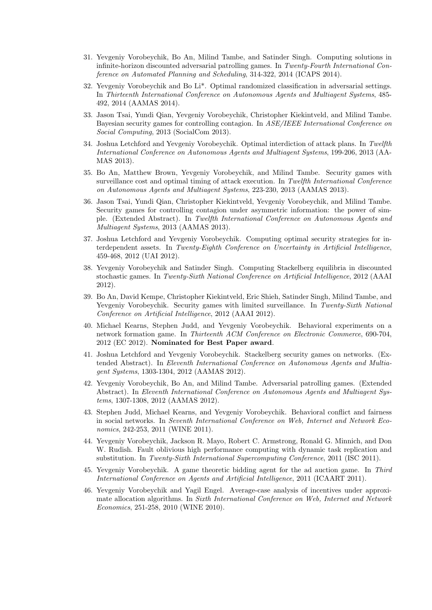- 31. Yevgeniy Vorobeychik, Bo An, Milind Tambe, and Satinder Singh. Computing solutions in infinite-horizon discounted adversarial patrolling games. In Twenty-Fourth International Conference on Automated Planning and Scheduling, 314-322, 2014 (ICAPS 2014).
- 32. Yevgeniy Vorobeychik and Bo Li\*. Optimal randomized classification in adversarial settings. In Thirteenth International Conference on Autonomous Agents and Multiagent Systems, 485- 492, 2014 (AAMAS 2014).
- 33. Jason Tsai, Yundi Qian, Yevgeniy Vorobeychik, Christopher Kiekintveld, and Milind Tambe. Bayesian security games for controlling contagion. In ASE/IEEE International Conference on Social Computing, 2013 (SocialCom 2013).
- 34. Joshua Letchford and Yevgeniy Vorobeychik. Optimal interdiction of attack plans. In Twelfth International Conference on Autonomous Agents and Multiagent Systems, 199-206, 2013 (AA-MAS 2013).
- 35. Bo An, Matthew Brown, Yevgeniy Vorobeychik, and Milind Tambe. Security games with surveillance cost and optimal timing of attack execution. In Twelfth International Conference on Autonomous Agents and Multiagent Systems, 223-230, 2013 (AAMAS 2013).
- 36. Jason Tsai, Yundi Qian, Christopher Kiekintveld, Yevgeniy Vorobeychik, and Milind Tambe. Security games for controlling contagion under asymmetric information: the power of simple. (Extended Abstract). In Twelfth International Conference on Autonomous Agents and Multiagent Systems, 2013 (AAMAS 2013).
- 37. Joshua Letchford and Yevgeniy Vorobeychik. Computing optimal security strategies for interdependent assets. In Twenty-Eighth Conference on Uncertainty in Artificial Intelligence, 459-468, 2012 (UAI 2012).
- 38. Yevgeniy Vorobeychik and Satinder Singh. Computing Stackelberg equilibria in discounted stochastic games. In Twenty-Sixth National Conference on Artificial Intelligence, 2012 (AAAI 2012).
- 39. Bo An, David Kempe, Christopher Kiekintveld, Eric Shieh, Satinder Singh, Milind Tambe, and Yevgeniy Vorobeychik. Security games with limited surveillance. In Twenty-Sixth National Conference on Artificial Intelligence, 2012 (AAAI 2012).
- 40. Michael Kearns, Stephen Judd, and Yevgeniy Vorobeychik. Behavioral experiments on a network formation game. In Thirteenth ACM Conference on Electronic Commerce, 690-704, 2012 (EC 2012). Nominated for Best Paper award.
- 41. Joshua Letchford and Yevgeniy Vorobeychik. Stackelberg security games on networks. (Extended Abstract). In Eleventh International Conference on Autonomous Agents and Multiagent Systems, 1303-1304, 2012 (AAMAS 2012).
- 42. Yevgeniy Vorobeychik, Bo An, and Milind Tambe. Adversarial patrolling games. (Extended Abstract). In Eleventh International Conference on Autonomous Agents and Multiagent Systems, 1307-1308, 2012 (AAMAS 2012).
- 43. Stephen Judd, Michael Kearns, and Yevgeniy Vorobeychik. Behavioral conflict and fairness in social networks. In Seventh International Conference on Web, Internet and Network Economics, 242-253, 2011 (WINE 2011).
- 44. Yevgeniy Vorobeychik, Jackson R. Mayo, Robert C. Armstrong, Ronald G. Minnich, and Don W. Rudish. Fault oblivious high performance computing with dynamic task replication and substitution. In Twenty-Sixth International Supercomputing Conference, 2011 (ISC 2011).
- 45. Yevgeniy Vorobeychik. A game theoretic bidding agent for the ad auction game. In Third International Conference on Agents and Artificial Intelligence, 2011 (ICAART 2011).
- 46. Yevgeniy Vorobeychik and Yagil Engel. Average-case analysis of incentives under approximate allocation algorithms. In Sixth International Conference on Web, Internet and Network Economics, 251-258, 2010 (WINE 2010).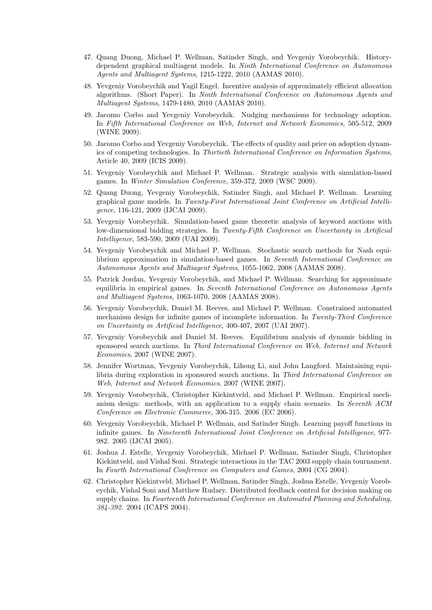- 47. Quang Duong, Michael P. Wellman, Satinder Singh, and Yevgeniy Vorobeychik. Historydependent graphical multiagent models. In Ninth International Conference on Autonomous Agents and Multiagent Systems, 1215-1222, 2010 (AAMAS 2010).
- 48. Yevgeniy Vorobeychik and Yagil Engel. Incentive analysis of approximately efficient allocation algorithms. (Short Paper). In Ninth International Conference on Autonomous Agents and Multiagent Systems, 1479-1480, 2010 (AAMAS 2010).
- 49. Jacomo Corbo and Yevgeniy Vorobeychik. Nudging mechanisms for technology adoption. In Fifth International Conference on Web, Internet and Network Economics, 505-512, 2009 (WINE 2009).
- 50. Jacomo Corbo and Yevgeniy Vorobeychik. The effects of quality and price on adoption dynamics of competing technologies. In Thirtieth International Conference on Information Systems, Article 40, 2009 (ICIS 2009).
- 51. Yevgeniy Vorobeychik and Michael P. Wellman. Strategic analysis with simulation-based games. In Winter Simulation Conference, 359-372, 2009 (WSC 2009).
- 52. Quang Duong, Yevgeniy Vorobeychik, Satinder Singh, and Michael P. Wellman. Learning graphical game models. In Twenty-First International Joint Conference on Artificial Intelligence, 116-121, 2009 (IJCAI 2009).
- 53. Yevgeniy Vorobeychik. Simulation-based game theoretic analysis of keyword auctions with low-dimensional bidding strategies. In Twenty-Fifth Conference on Uncertainty in Artificial Intelligence, 583-590, 2009 (UAI 2009).
- 54. Yevgeniy Vorobeychik and Michael P. Wellman. Stochastic search methods for Nash equilibrium approximation in simulation-based games. In Seventh International Conference on Autonomous Agents and Multiagent Systems, 1055-1062, 2008 (AAMAS 2008).
- 55. Patrick Jordan, Yevgeniy Vorobeychik, and Michael P. Wellman. Searching for approximate equilibria in empirical games. In Seventh International Conference on Autonomous Agents and Multiagent Systems, 1063-1070, 2008 (AAMAS 2008).
- 56. Yevgeniy Vorobeychik, Daniel M. Reeves, and Michael P. Wellman. Constrained automated mechanism design for infinite games of incomplete information. In Twenty-Third Conference on Uncertainty in Artificial Intelligence, 400-407, 2007 (UAI 2007).
- 57. Yevgeniy Vorobeychik and Daniel M. Reeves. Equilibrium analysis of dynamic bidding in sponsored search auctions. In Third International Conference on Web, Internet and Network Economics, 2007 (WINE 2007).
- 58. Jennifer Wortman, Yevgeniy Vorobeychik, Lihong Li, and John Langford. Maintaining equilibria during exploration in sponsored search auctions. In Third International Conference on Web, Internet and Network Economics, 2007 (WINE 2007).
- 59. Yevgeniy Vorobeychik, Christopher Kiekintveld, and Michael P. Wellman. Empirical mechanism design: methods, with an application to a supply chain scenario. In Seventh ACM Conference on Electronic Commerce, 306-315. 2006 (EC 2006).
- 60. Yevgeniy Vorobeychik, Michael P. Wellman, and Satinder Singh. Learning payoff functions in infinite games. In Nineteenth International Joint Conference on Artificial Intelligence, 977- 982. 2005 (IJCAI 2005).
- 61. Joshua J. Estelle, Yevgeniy Vorobeychik, Michael P. Wellman, Satinder Singh, Christopher Kiekintveld, and Vishal Soni. Strategic interactions in the TAC 2003 supply chain tournament. In Fourth International Conference on Computers and Games, 2004 (CG 2004).
- 62. Christopher Kiekintveld, Michael P. Wellman, Satinder Singh, Joshua Estelle, Yevgeniy Vorobeychik, Vishal Soni and Matthew Rudary. Distributed feedback control for decision making on supply chains. In Fourteenth International Conference on Automated Planning and Scheduling, 384-392. 2004 (ICAPS 2004).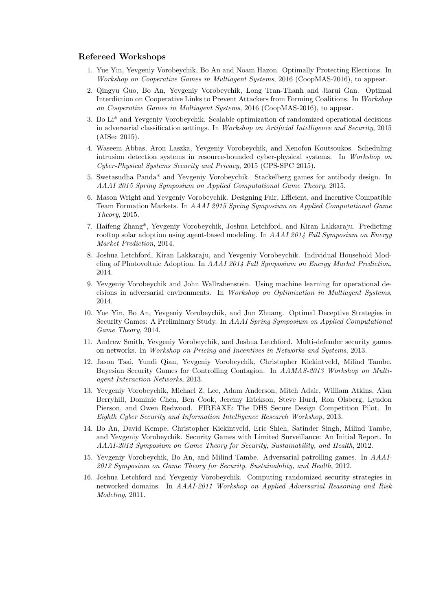#### Refereed Workshops

- 1. Yue Yin, Yevgeniy Vorobeychik, Bo An and Noam Hazon. Optimally Protecting Elections. In Workshop on Cooperative Games in Multiagent Systems, 2016 (CoopMAS-2016), to appear.
- 2. Qingyu Guo, Bo An, Yevgeniy Vorobeychik, Long Tran-Thanh and Jiarui Gan. Optimal Interdiction on Cooperative Links to Prevent Attackers from Forming Coalitions. In Workshop on Cooperative Games in Multiagent Systems, 2016 (CoopMAS-2016), to appear.
- 3. Bo Li\* and Yevgeniy Vorobeychik. Scalable optimization of randomized operational decisions in adversarial classification settings. In Workshop on Artificial Intelligence and Security, 2015 (AISec 2015).
- 4. Waseem Abbas, Aron Laszka, Yevgeniy Vorobeychik, and Xenofon Koutsoukos. Scheduling intrusion detection systems in resource-bounded cyber-physical systems. In Workshop on Cyber-Physical Systems Security and Privacy, 2015 (CPS-SPC 2015).
- 5. Swetasudha Panda\* and Yevgeniy Vorobeychik. Stackelberg games for antibody design. In AAAI 2015 Spring Symposium on Applied Computational Game Theory, 2015.
- 6. Mason Wright and Yevgeniy Vorobeychik. Designing Fair, Efficient, and Incentive Compatible Team Formation Markets. In AAAI 2015 Spring Symposium on Applied Computational Game Theory, 2015.
- 7. Haifeng Zhang\*, Yevgeniy Vorobeychik, Joshua Letchford, and Kiran Lakkaraju. Predicting rooftop solar adoption using agent-based modeling. In AAAI 2014 Fall Symposium on Energy Market Prediction, 2014.
- 8. Joshua Letchford, Kiran Lakkaraju, and Yevgeniy Vorobeychik. Individual Household Modeling of Photovoltaic Adoption. In AAAI 2014 Fall Symposium on Energy Market Prediction, 2014.
- 9. Yevgeniy Vorobeychik and John Wallrabenstein. Using machine learning for operational decisions in adversarial environments. In Workshop on Optimization in Multiagent Systems, 2014.
- 10. Yue Yin, Bo An, Yevgeniy Vorobeychik, and Jun Zhuang. Optimal Deceptive Strategies in Security Games: A Preliminary Study. In AAAI Spring Symposium on Applied Computational Game Theory, 2014.
- 11. Andrew Smith, Yevgeniy Vorobeychik, and Joshua Letchford. Multi-defender security games on networks. In Workshop on Pricing and Incentives in Networks and Systems, 2013.
- 12. Jason Tsai, Yundi Qian, Yevgeniy Vorobeychik, Christopher Kiekintveld, Milind Tambe. Bayesian Security Games for Controlling Contagion. In AAMAS-2013 Workshop on Multiagent Interaction Networks, 2013.
- 13. Yevgeniy Vorobeychik, Michael Z. Lee, Adam Anderson, Mitch Adair, William Atkins, Alan Berryhill, Dominic Chen, Ben Cook, Jeremy Erickson, Steve Hurd, Ron Olsberg, Lyndon Pierson, and Owen Redwood. FIREAXE: The DHS Secure Design Competition Pilot. In Eighth Cyber Security and Information Intelligence Research Workshop, 2013.
- 14. Bo An, David Kempe, Christopher Kiekintveld, Eric Shieh, Satinder Singh, Milind Tambe, and Yevgeniy Vorobeychik. Security Games with Limited Surveillance: An Initial Report. In AAAI-2012 Symposium on Game Theory for Security, Sustainability, and Health, 2012.
- 15. Yevgeniy Vorobeychik, Bo An, and Milind Tambe. Adversarial patrolling games. In AAAI-2012 Symposium on Game Theory for Security, Sustainability, and Health, 2012.
- 16. Joshua Letchford and Yevgeniy Vorobeychik. Computing randomized security strategies in networked domains. In AAAI-2011 Workshop on Applied Adversarial Reasoning and Risk Modeling, 2011.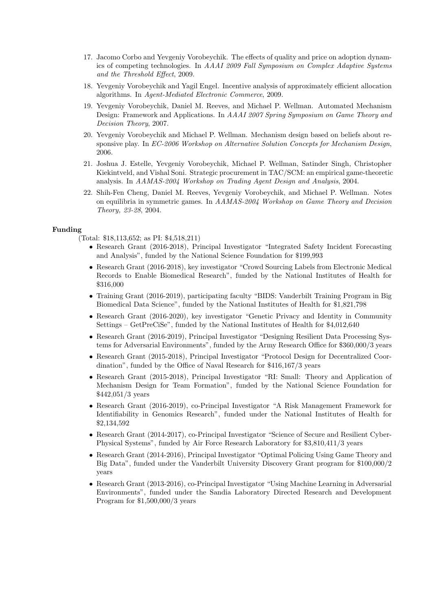- 17. Jacomo Corbo and Yevgeniy Vorobeychik. The effects of quality and price on adoption dynamics of competing technologies. In AAAI 2009 Fall Symposium on Complex Adaptive Systems and the Threshold Effect, 2009.
- 18. Yevgeniy Vorobeychik and Yagil Engel. Incentive analysis of approximately efficient allocation algorithms. In Agent-Mediated Electronic Commerce, 2009.
- 19. Yevgeniy Vorobeychik, Daniel M. Reeves, and Michael P. Wellman. Automated Mechanism Design: Framework and Applications. In AAAI 2007 Spring Symposium on Game Theory and Decision Theory, 2007.
- 20. Yevgeniy Vorobeychik and Michael P. Wellman. Mechanism design based on beliefs about responsive play. In EC-2006 Workshop on Alternative Solution Concepts for Mechanism Design, 2006.
- 21. Joshua J. Estelle, Yevgeniy Vorobeychik, Michael P. Wellman, Satinder Singh, Christopher Kiekintveld, and Vishal Soni. Strategic procurement in TAC/SCM: an empirical game-theoretic analysis. In AAMAS-2004 Workshop on Trading Agent Design and Analysis, 2004.
- 22. Shih-Fen Cheng, Daniel M. Reeves, Yevgeniy Vorobeychik, and Michael P. Wellman. Notes on equilibria in symmetric games. In AAMAS-2004 Workshop on Game Theory and Decision Theory, 23-28, 2004.

#### Funding

- (Total: \$18,113,652; as PI: \$4,518,211)
	- Research Grant (2016-2018), Principal Investigator "Integrated Safety Incident Forecasting and Analysis", funded by the National Science Foundation for \$199,993
	- Research Grant (2016-2018), key investigator "Crowd Sourcing Labels from Electronic Medical Records to Enable Biomedical Research", funded by the National Institutes of Health for \$316,000
	- Training Grant (2016-2019), participating faculty "BIDS: Vanderbilt Training Program in Big Biomedical Data Science", funded by the National Institutes of Health for \$1,821,798
	- Research Grant (2016-2020), key investigator "Genetic Privacy and Identity in Community Settings – GetPreCiSe", funded by the National Institutes of Health for \$4,012,640
	- Research Grant (2016-2019), Principal Investigator "Designing Resilient Data Processing Systems for Adversarial Environments", funded by the Army Research Office for \$360,000/3 years
	- Research Grant (2015-2018), Principal Investigator "Protocol Design for Decentralized Coordination", funded by the Office of Naval Research for \$416,167/3 years
	- Research Grant (2015-2018), Principal Investigator "RI: Small: Theory and Application of Mechanism Design for Team Formation", funded by the National Science Foundation for \$442,051/3 years
	- Research Grant (2016-2019), co-Principal Investigator "A Risk Management Framework for Identifiability in Genomics Research", funded under the National Institutes of Health for \$2,134,592
	- Research Grant (2014-2017), co-Principal Investigator "Science of Secure and Resilient Cyber-Physical Systems", funded by Air Force Research Laboratory for \$3,810,411/3 years
	- Research Grant (2014-2016), Principal Investigator "Optimal Policing Using Game Theory and Big Data", funded under the Vanderbilt University Discovery Grant program for \$100,000/2 years
	- Research Grant (2013-2016), co-Principal Investigator "Using Machine Learning in Adversarial Environments", funded under the Sandia Laboratory Directed Research and Development Program for \$1,500,000/3 years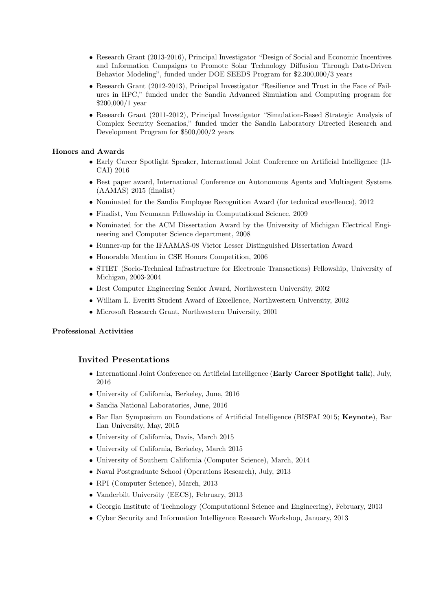- Research Grant (2013-2016), Principal Investigator "Design of Social and Economic Incentives and Information Campaigns to Promote Solar Technology Diffusion Through Data-Driven Behavior Modeling", funded under DOE SEEDS Program for \$2,300,000/3 years
- Research Grant (2012-2013), Principal Investigator "Resilience and Trust in the Face of Failures in HPC," funded under the Sandia Advanced Simulation and Computing program for \$200,000/1 year
- Research Grant (2011-2012), Principal Investigator "Simulation-Based Strategic Analysis of Complex Security Scenarios," funded under the Sandia Laboratory Directed Research and Development Program for \$500,000/2 years

### Honors and Awards

- Early Career Spotlight Speaker, International Joint Conference on Artificial Intelligence (IJ-CAI) 2016
- Best paper award, International Conference on Autonomous Agents and Multiagent Systems (AAMAS) 2015 (finalist)
- Nominated for the Sandia Employee Recognition Award (for technical excellence), 2012
- Finalist, Von Neumann Fellowship in Computational Science, 2009
- Nominated for the ACM Dissertation Award by the University of Michigan Electrical Engineering and Computer Science department, 2008
- Runner-up for the IFAAMAS-08 Victor Lesser Distinguished Dissertation Award
- Honorable Mention in CSE Honors Competition, 2006
- STIET (Socio-Technical Infrastructure for Electronic Transactions) Fellowship, University of Michigan, 2003-2004
- Best Computer Engineering Senior Award, Northwestern University, 2002
- William L. Everitt Student Award of Excellence, Northwestern University, 2002
- Microsoft Research Grant, Northwestern University, 2001

### Professional Activities

## Invited Presentations

- International Joint Conference on Artificial Intelligence (Early Career Spotlight talk), July, 2016
- University of California, Berkeley, June, 2016
- Sandia National Laboratories, June, 2016
- Bar Ilan Symposium on Foundations of Artificial Intelligence (BISFAI 2015; Keynote), Bar Ilan University, May, 2015
- University of California, Davis, March 2015
- University of California, Berkeley, March 2015
- University of Southern California (Computer Science), March, 2014
- Naval Postgraduate School (Operations Research), July, 2013
- RPI (Computer Science), March, 2013
- Vanderbilt University (EECS), February, 2013
- Georgia Institute of Technology (Computational Science and Engineering), February, 2013
- Cyber Security and Information Intelligence Research Workshop, January, 2013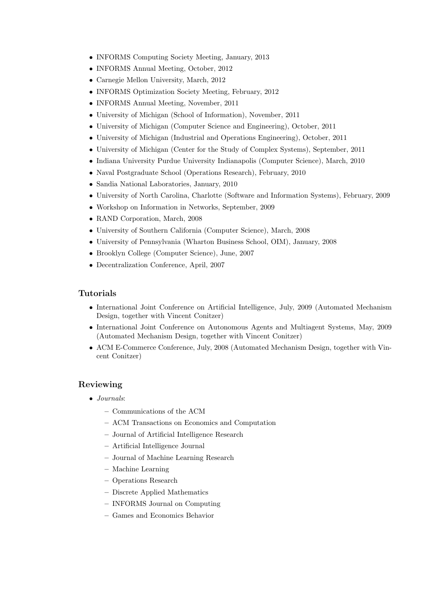- INFORMS Computing Society Meeting, January, 2013
- INFORMS Annual Meeting, October, 2012
- Carnegie Mellon University, March, 2012
- INFORMS Optimization Society Meeting, February, 2012
- INFORMS Annual Meeting, November, 2011
- University of Michigan (School of Information), November, 2011
- University of Michigan (Computer Science and Engineering), October, 2011
- University of Michigan (Industrial and Operations Engineering), October, 2011
- University of Michigan (Center for the Study of Complex Systems), September, 2011
- Indiana University Purdue University Indianapolis (Computer Science), March, 2010
- Naval Postgraduate School (Operations Research), February, 2010
- Sandia National Laboratories, January, 2010
- University of North Carolina, Charlotte (Software and Information Systems), February, 2009
- Workshop on Information in Networks, September, 2009
- RAND Corporation, March, 2008
- University of Southern California (Computer Science), March, 2008
- University of Pennsylvania (Wharton Business School, OIM), January, 2008
- Brooklyn College (Computer Science), June, 2007
- Decentralization Conference, April, 2007

## Tutorials

- International Joint Conference on Artificial Intelligence, July, 2009 (Automated Mechanism Design, together with Vincent Conitzer)
- International Joint Conference on Autonomous Agents and Multiagent Systems, May, 2009 (Automated Mechanism Design, together with Vincent Conitzer)
- ACM E-Commerce Conference, July, 2008 (Automated Mechanism Design, together with Vincent Conitzer)

## Reviewing

- Journals:
	- Communications of the ACM
	- ACM Transactions on Economics and Computation
	- Journal of Artificial Intelligence Research
	- Artificial Intelligence Journal
	- Journal of Machine Learning Research
	- Machine Learning
	- Operations Research
	- Discrete Applied Mathematics
	- INFORMS Journal on Computing
	- Games and Economics Behavior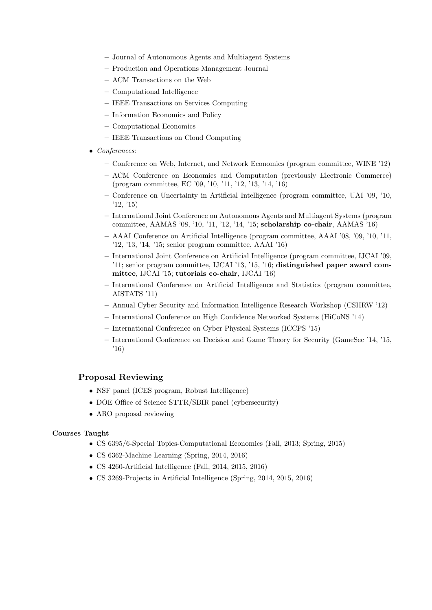- Journal of Autonomous Agents and Multiagent Systems
- Production and Operations Management Journal
- ACM Transactions on the Web
- Computational Intelligence
- IEEE Transactions on Services Computing
- Information Economics and Policy
- Computational Economics
- IEEE Transactions on Cloud Computing
- Conferences:
	- Conference on Web, Internet, and Network Economics (program committee, WINE '12)
	- ACM Conference on Economics and Computation (previously Electronic Commerce) (program committee, EC '09, '10, '11, '12, '13, '14, '16)
	- Conference on Uncertainty in Artificial Intelligence (program committee, UAI '09, '10, '12, '15)
	- International Joint Conference on Autonomous Agents and Multiagent Systems (program committee, AAMAS '08, '10, '11, '12, '14, '15; scholarship co-chair, AAMAS '16)
	- AAAI Conference on Artificial Intelligence (program committee, AAAI '08, '09, '10, '11, '12, '13, '14, '15; senior program committee, AAAI '16)
	- International Joint Conference on Artificial Intelligence (program committee, IJCAI '09, '11; senior program committee, IJCAI '13, '15, '16; distinguished paper award committee, IJCAI '15; tutorials co-chair, IJCAI '16)
	- International Conference on Artificial Intelligence and Statistics (program committee, AISTATS '11)
	- Annual Cyber Security and Information Intelligence Research Workshop (CSIIRW '12)
	- International Conference on High Confidence Networked Systems (HiCoNS '14)
	- International Conference on Cyber Physical Systems (ICCPS '15)
	- International Conference on Decision and Game Theory for Security (GameSec '14, '15, '16)

## Proposal Reviewing

- NSF panel (ICES program, Robust Intelligence)
- DOE Office of Science STTR/SBIR panel (cybersecurity)
- ARO proposal reviewing

### Courses Taught

- CS 6395/6-Special Topics-Computational Economics (Fall, 2013; Spring, 2015)
- CS 6362-Machine Learning (Spring, 2014, 2016)
- CS 4260-Artificial Intelligence (Fall, 2014, 2015, 2016)
- CS 3269-Projects in Artificial Intelligence (Spring, 2014, 2015, 2016)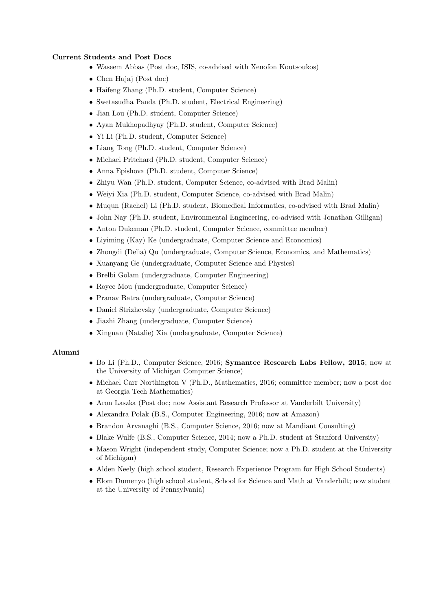### Current Students and Post Docs

- Waseem Abbas (Post doc, ISIS, co-advised with Xenofon Koutsoukos)
- Chen Hajaj (Post doc)
- Haifeng Zhang (Ph.D. student, Computer Science)
- Swetasudha Panda (Ph.D. student, Electrical Engineering)
- Jian Lou (Ph.D. student, Computer Science)
- Ayan Mukhopadhyay (Ph.D. student, Computer Science)
- Yi Li (Ph.D. student, Computer Science)
- Liang Tong (Ph.D. student, Computer Science)
- Michael Pritchard (Ph.D. student, Computer Science)
- Anna Epishova (Ph.D. student, Computer Science)
- Zhiyu Wan (Ph.D. student, Computer Science, co-advised with Brad Malin)
- Weiyi Xia (Ph.D. student, Computer Science, co-advised with Brad Malin)
- Muqun (Rachel) Li (Ph.D. student, Biomedical Informatics, co-advised with Brad Malin)
- John Nay (Ph.D. student, Environmental Engineering, co-advised with Jonathan Gilligan)
- Anton Dukeman (Ph.D. student, Computer Science, committee member)
- Liyiming (Kay) Ke (undergraduate, Computer Science and Economics)
- Zhongdi (Delia) Qu (undergraduate, Computer Science, Economics, and Mathematics)
- Xuanyang Ge (undergraduate, Computer Science and Physics)
- Brelbi Golam (undergraduate, Computer Engineering)
- Royce Mou (undergraduate, Computer Science)
- Pranav Batra (undergraduate, Computer Science)
- Daniel Strizhevsky (undergraduate, Computer Science)
- Jiazhi Zhang (undergraduate, Computer Science)
- Xingnan (Natalie) Xia (undergraduate, Computer Science)

#### Alumni

- Bo Li (Ph.D., Computer Science, 2016; Symantec Research Labs Fellow, 2015; now at the University of Michigan Computer Science)
- Michael Carr Northington V (Ph.D., Mathematics, 2016; committee member; now a post doc at Georgia Tech Mathematics)
- Aron Laszka (Post doc; now Assistant Research Professor at Vanderbilt University)
- Alexandra Polak (B.S., Computer Engineering, 2016; now at Amazon)
- Brandon Arvanaghi (B.S., Computer Science, 2016; now at Mandiant Consulting)
- Blake Wulfe (B.S., Computer Science, 2014; now a Ph.D. student at Stanford University)
- Mason Wright (independent study, Computer Science; now a Ph.D. student at the University of Michigan)
- Alden Neely (high school student, Research Experience Program for High School Students)
- Elom Dumenyo (high school student, School for Science and Math at Vanderbilt; now student at the University of Pennsylvania)